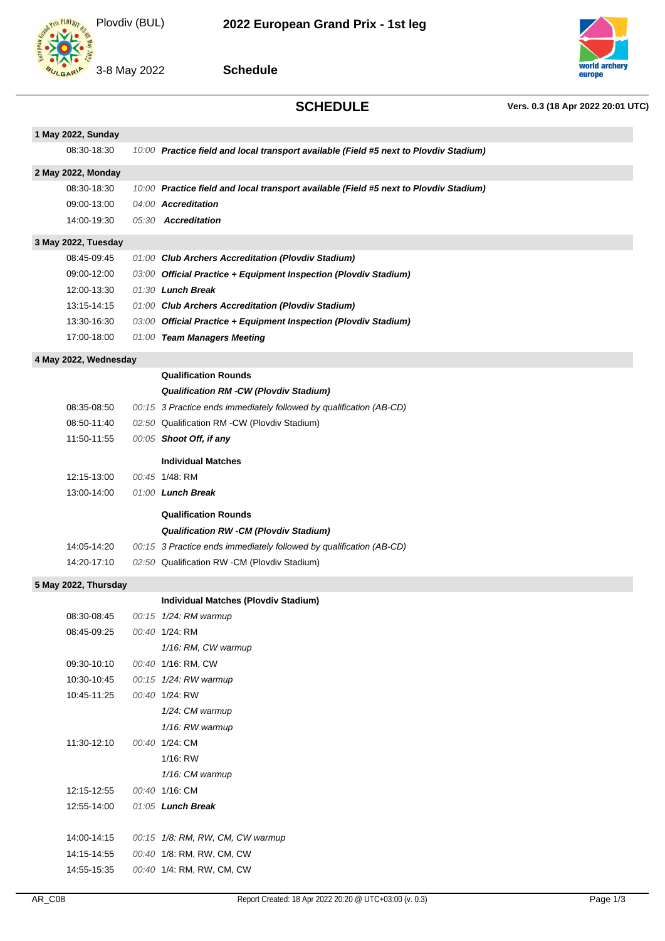



**Schedule**



**SCHEDULE Vers. 0.3 (18 Apr 2022 20:01 UTC)**

| 1 May 2022, Sunday            |  |                                                                                       |  |  |  |  |
|-------------------------------|--|---------------------------------------------------------------------------------------|--|--|--|--|
| 08:30-18:30                   |  | 10:00 Practice field and local transport available (Field #5 next to Plovdiv Stadium) |  |  |  |  |
| 2 May 2022, Monday            |  |                                                                                       |  |  |  |  |
| 08:30-18:30                   |  | 10:00 Practice field and local transport available (Field #5 next to Plovdiv Stadium) |  |  |  |  |
| 09:00-13:00                   |  | 04:00 Accreditation                                                                   |  |  |  |  |
| 14:00-19:30                   |  | 05:30 Accreditation                                                                   |  |  |  |  |
| 3 May 2022, Tuesday           |  |                                                                                       |  |  |  |  |
| 08:45-09:45                   |  | 01:00 Club Archers Accreditation (Plovdiv Stadium)                                    |  |  |  |  |
| 09:00-12:00                   |  | 03:00 Official Practice + Equipment Inspection (Plovdiv Stadium)                      |  |  |  |  |
| 12:00-13:30                   |  | 01:30 Lunch Break                                                                     |  |  |  |  |
| 13:15-14:15                   |  | 01:00 Club Archers Accreditation (Plovdiv Stadium)                                    |  |  |  |  |
| 13:30-16:30                   |  | 03:00 Official Practice + Equipment Inspection (Plovdiv Stadium)                      |  |  |  |  |
| 17:00-18:00                   |  | 01:00 Team Managers Meeting                                                           |  |  |  |  |
| 4 May 2022, Wednesday         |  |                                                                                       |  |  |  |  |
|                               |  | <b>Qualification Rounds</b>                                                           |  |  |  |  |
|                               |  | <b>Qualification RM -CW (Plovdiv Stadium)</b>                                         |  |  |  |  |
| 08:35-08:50                   |  | 00:15 3 Practice ends immediately followed by qualification (AB-CD)                   |  |  |  |  |
| 08:50-11:40                   |  | 02:50 Qualification RM -CW (Plovdiv Stadium)                                          |  |  |  |  |
| 11:50-11:55                   |  | 00:05 Shoot Off, if any                                                               |  |  |  |  |
|                               |  |                                                                                       |  |  |  |  |
|                               |  | <b>Individual Matches</b>                                                             |  |  |  |  |
| 12:15-13:00<br>13:00-14:00    |  | 00:45 1/48: RM                                                                        |  |  |  |  |
|                               |  | 01:00 Lunch Break                                                                     |  |  |  |  |
|                               |  | <b>Qualification Rounds</b>                                                           |  |  |  |  |
|                               |  | <b>Qualification RW -CM (Plovdiv Stadium)</b>                                         |  |  |  |  |
| 14:05-14:20                   |  | 00:15 3 Practice ends immediately followed by qualification (AB-CD)                   |  |  |  |  |
| 14:20-17:10                   |  | 02:50 Qualification RW -CM (Plovdiv Stadium)                                          |  |  |  |  |
| 5 May 2022, Thursday          |  |                                                                                       |  |  |  |  |
|                               |  | Individual Matches (Plovdiv Stadium)                                                  |  |  |  |  |
| 08:30-08:45                   |  | 00:15 1/24: RM warmup                                                                 |  |  |  |  |
| 08:45-09:25                   |  | 00:40 1/24: RM                                                                        |  |  |  |  |
|                               |  | 1/16: RM, CW warmup                                                                   |  |  |  |  |
| 09:30-10:10                   |  | 00:40 1/16: RM, CW                                                                    |  |  |  |  |
| 10:30-10:45                   |  | 00:15 1/24: RW warmup                                                                 |  |  |  |  |
| 10:45-11:25<br>00:40 1/24: RW |  |                                                                                       |  |  |  |  |
|                               |  | 1/24: CM warmup                                                                       |  |  |  |  |
|                               |  | 1/16: RW warmup                                                                       |  |  |  |  |
| 11:30-12:10                   |  | 00:40 1/24: CM                                                                        |  |  |  |  |
|                               |  | 1/16: RW                                                                              |  |  |  |  |
|                               |  | 1/16: CM warmup                                                                       |  |  |  |  |
| 12:15-12:55                   |  | 00:40 1/16: CM                                                                        |  |  |  |  |
| 12:55-14:00                   |  | 01:05 Lunch Break                                                                     |  |  |  |  |
|                               |  |                                                                                       |  |  |  |  |
| 14:00-14:15                   |  | 00:15 1/8: RM, RW, CM, CW warmup                                                      |  |  |  |  |
| 14:15-14:55                   |  | 00:40 1/8: RM, RW, CM, CW                                                             |  |  |  |  |
| 14:55-15:35                   |  | 00:40 1/4: RM, RW, CM, CW                                                             |  |  |  |  |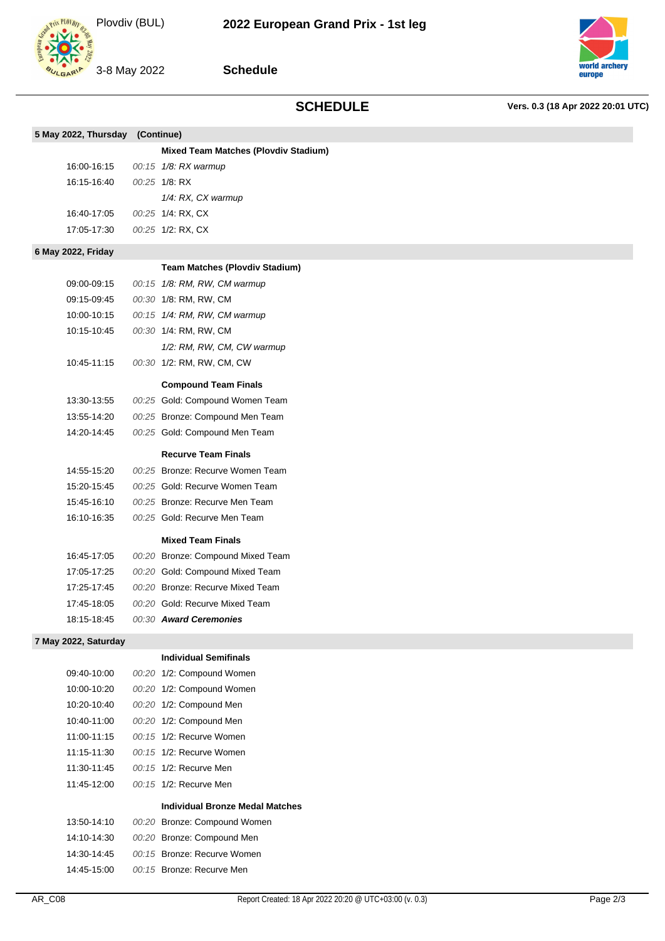3-8 May 2022



**Schedule**

## **SCHEDULE Vers. 0.3 (18 Apr 2022 20:01 UTC)**

| 5 May 2022, Thursday (Continue) |                                             |
|---------------------------------|---------------------------------------------|
|                                 | <b>Mixed Team Matches (Plovdiv Stadium)</b> |
| 16:00-16:15                     | 00:15 1/8: RX warmup                        |
| 16:15-16:40                     | 00:25 1/8 RX                                |
|                                 | 1/4: RX, CX warmup                          |
| 16:40-17:05                     | 00:25 1/4: RX, CX                           |
| 17:05-17:30                     | 00:25 1/2: RX, CX                           |
| 6 May 2022, Friday              |                                             |
|                                 | <b>Team Matches (Plovdiv Stadium)</b>       |
| 09:00-09:15                     | 00:15 1/8: RM, RW, CM warmup                |
| 09:15-09:45                     | 00:30 1/8: RM, RW, CM                       |
| 10:00-10:15                     | 00:15 1/4: RM, RW, CM warmup                |
| 10:15-10:45                     | 00:30 1/4: RM, RW, CM                       |
|                                 | 1/2: RM, RW, CM, CW warmup                  |
| 10:45-11:15                     | 00:30 1/2: RM, RW, CM, CW                   |
|                                 | <b>Compound Team Finals</b>                 |
| 13:30-13:55                     | 00:25 Gold: Compound Women Team             |
| 13:55-14:20                     | 00:25 Bronze: Compound Men Team             |
| 14:20-14:45                     | 00:25 Gold: Compound Men Team               |
|                                 | <b>Recurve Team Finals</b>                  |
| 14:55-15:20                     | 00:25 Bronze: Recurve Women Team            |
| 15:20-15:45                     | 00:25 Gold: Recurve Women Team              |
| 15:45-16:10                     | 00:25 Bronze: Recurve Men Team              |
| 16:10-16:35                     | 00:25 Gold: Recurve Men Team                |
|                                 | <b>Mixed Team Finals</b>                    |
| 16:45-17:05                     | 00:20 Bronze: Compound Mixed Team           |
| 17:05-17:25                     | 00:20 Gold: Compound Mixed Team             |
| 17:25-17:45                     | 00:20 Bronze: Recurve Mixed Team            |
| 17:45-18:05                     | 00:20 Gold: Recurve Mixed Team              |
| 18:15-18:45                     | 00:30 Award Ceremonies                      |
| 7 May 2022, Saturday            |                                             |
|                                 | <b>Individual Semifinals</b>                |

09:40-10:00 00:20 1/2: Compound Women 10:00-10:20 00:20 1/2: Compound Women 10:20-10:40 00:20 1/2: Compound Men 10:40-11:00 00:20 1/2: Compound Men 11:00-11:15 00:15 1/2: Recurve Women 11:15-11:30 00:15 1/2: Recurve Women 11:30-11:45 00:15 1/2: Recurve Men 11:45-12:00 00:15 1/2: Recurve Men **Individual Bronze Medal Matches** 13:50-14:10 00:20 Bronze: Compound Women 14:10-14:30 00:20 Bronze: Compound Men 14:30-14:45 00:15 Bronze: Recurve Women 14:45-15:00 00:15 Bronze: Recurve Men